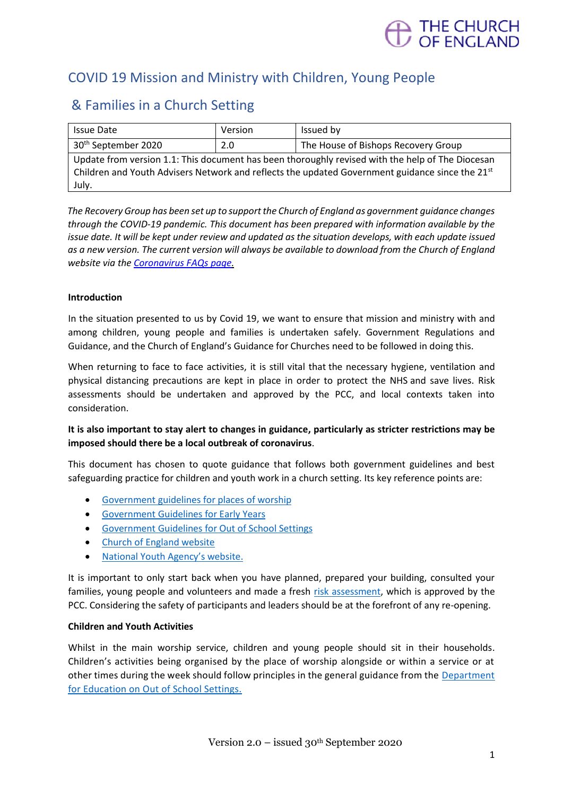

# COVID 19 Mission and Ministry with Children, Young People

# & Families in a Church Setting

| <b>Issue Date</b>                                                                                | Version | Issued by                           |
|--------------------------------------------------------------------------------------------------|---------|-------------------------------------|
| 30 <sup>th</sup> September 2020                                                                  | 2.0     | The House of Bishops Recovery Group |
| Update from version 1.1: This document has been thoroughly revised with the help of The Diocesan |         |                                     |
| Children and Youth Advisers Network and reflects the updated Government guidance since the 21st  |         |                                     |
| July.                                                                                            |         |                                     |

*The Recovery Group has been set up to support the Church of England as government guidance changes through the COVID-19 pandemic. This document has been prepared with information available by the issue date. It will be kept under review and updated as the situation develops, with each update issued as a new version. The current version will always be available to download from the Church of England website via th[e Coronavirus FAQs page.](https://www.churchofengland.org/more/media-centre/coronavirus-covid-19-guidance-churches)*

## **Introduction**

In the situation presented to us by Covid 19, we want to ensure that mission and ministry with and among children, young people and families is undertaken safely. Government Regulations and Guidance, and the Church of England's Guidance for Churches need to be followed in doing this.

When returning to face to face activities, it is still vital that the necessary hygiene, ventilation and physical distancing precautions are kept in place in order to protect the NHS and save lives. Risk assessments should be undertaken and approved by the PCC, and local contexts taken into consideration.

## **It is also important to stay alert to changes in guidance, particularly as stricter restrictions may be imposed should there be a local outbreak of coronavirus**.

This document has chosen to quote guidance that follows both government guidelines and best safeguarding practice for children and youth work in a church setting. Its key reference points are:

- [Government guidelines for places of worship](https://www.gov.uk/government/publications/covid-19-guidance-for-the-safe-use-of-places-of-worship-during-the-pandemic-from-4-july/covid-19-guidance-for-the-safe-use-of-places-of-worship-during-the-pandemic-from-4-july)
- [Government Guidelines for Early Years](https://www.gov.uk/government/collections/early-years-and-childcare-coronavirus-covid-19)
- [Government Guidelines for Out of School Settings](https://www.gov.uk/government/publications/protective-measures-for-holiday-or-after-school-clubs-and-other-out-of-school-settings-for-children-during-the-coronavirus-covid-19-outbreak/protective-measures-for-out-of-school-settings-during-the-coronavirus-covid-19-outbreak)
- [Church of England website](https://www.churchofengland.org/more/media-centre/coronavirus-covid-19-guidance-churches)
- [National Youth Agency's website](https://nya.org.uk/wp-content/uploads/2020/08/NYA-Guidance-version-2.pdf).

It is important to only start back when you have planned, prepared your building, consulted your families, young people and volunteers and made a fresh [risk assessment,](https://youthworksupport.co.uk/) which is approved by the PCC. Considering the safety of participants and leaders should be at the forefront of any re-opening.

## **Children and Youth Activities**

Whilst in the main worship service, children and young people should sit in their households. Children's activities being organised by the place of worship alongside or within a service or at other times during the week should follow principles in the general guidance from the Department [for Education on Out of School Settings.](https://www.gov.uk/government/publications/protective-measures-for-holiday-or-after-school-clubs-and-other-out-of-school-settings-for-children-during-the-coronavirus-covid-19-outbreak/protective-measures-for-out-of-school-settings-during-the-coronavirus-covid-19-outbreak?fbclid=IwAR0NeshL-sLWnqW3aKx9PrvZCD2u2m9OBYIalAcYSkbiwv1InqjJlntEGk4)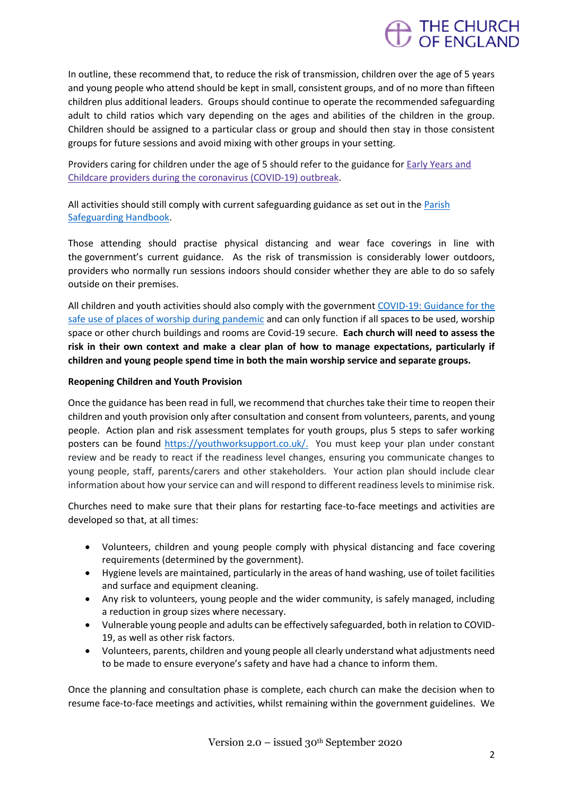

In outline, these recommend that, to reduce the risk of transmission, children over the age of 5 years and young people who attend should be kept in small, consistent groups, and of no more than fifteen children plus additional leaders. Groups should continue to operate the recommended safeguarding adult to child ratios which vary depending on the ages and abilities of the children in the group. Children should be assigned to a particular class or group and should then stay in those consistent groups for future sessions and avoid mixing with other groups in your setting.

Providers caring for children under the age of 5 should refer to the guidance for Early [Years](https://www.gov.uk/government/publications/coronavirus-covid-19-early-years-and-childcare-closures/coronavirus-covid-19-early-years-and-childcare-closures#who-this-guidance-is-for) and Childcare providers during the [coronavirus](https://www.gov.uk/government/publications/coronavirus-covid-19-early-years-and-childcare-closures/coronavirus-covid-19-early-years-and-childcare-closures#who-this-guidance-is-for) (COVID-19) outbreak.

All activities should still comply with current safeguarding guidance as set out in th[e Parish](https://www.churchofengland.org/sites/default/files/2019-10/ParishSafeGuardingHandBookAugust2019Web.pdf)  [Safeguarding Handbook.](https://www.churchofengland.org/sites/default/files/2019-10/ParishSafeGuardingHandBookAugust2019Web.pdf)

Those attending should practise physical distancing and wear face coverings in line with the [government's current guidance](https://www.gov.uk/government/publications/staying-alert-and-safe-social-distancing/staying-alert-and-safe-social-distancing). As the risk of transmission is considerably lower outdoors, providers who normally run sessions indoors should consider whether they are able to do so safely outside on their premises.

All children and youth activities should also comply with the governmen[t COVID-19: Guidance for the](https://www.gov.uk/government/publications/covid-19-guidance-for-the-safe-use-of-places-of-worship-during-the-pandemic-from-4-july/covid-19-guidance-for-the-safe-use-of-places-of-worship-during-the-pandemic-from-4-july)  [safe use of places of worship during pandemic](https://www.gov.uk/government/publications/covid-19-guidance-for-the-safe-use-of-places-of-worship-during-the-pandemic-from-4-july/covid-19-guidance-for-the-safe-use-of-places-of-worship-during-the-pandemic-from-4-july) and can only function if all spaces to be used, worship space or other church buildings and rooms are Covid-19 secure. **Each church will need to assess the risk in their own context and make a clear plan of how to manage expectations, particularly if children and young people spend time in both the main worship service and separate groups.** 

## **Reopening Children and Youth Provision**

Once the guidance has been read in full, we recommend that churches take their time to reopen their children and youth provision only after consultation and consent from volunteers, parents, and young people. Action plan and risk assessment templates for youth groups, plus 5 steps to safer working posters can be found [https://youthworksupport.co.uk/.](https://youthworksupport.co.uk/) You must keep your plan under constant review and be ready to react if the readiness level changes, ensuring you communicate changes to young people, staff, parents/carers and other stakeholders. Your action plan should include clear information about how your service can and will respond to different readiness levels to minimise risk.

Churches need to make sure that their plans for restarting face-to-face meetings and activities are developed so that, at all times:

- Volunteers, children and young people comply with physical distancing and face covering requirements (determined by the government).
- Hygiene levels are maintained, particularly in the areas of hand washing, use of toilet facilities and surface and equipment cleaning.
- Any risk to volunteers, young people and the wider community, is safely managed, including a reduction in group sizes where necessary.
- Vulnerable young people and adults can be effectively safeguarded, both in relation to COVID-19, as well as other risk factors.
- Volunteers, parents, children and young people all clearly understand what adjustments need to be made to ensure everyone's safety and have had a chance to inform them.

Once the planning and consultation phase is complete, each church can make the decision when to resume face-to-face meetings and activities, whilst remaining within the government guidelines. We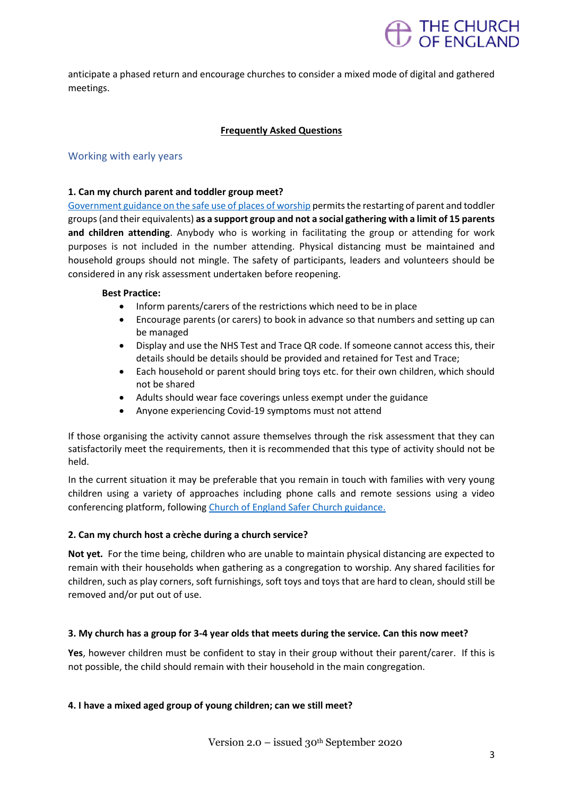

anticipate a phased return and encourage churches to consider a mixed mode of digital and gathered meetings.

## **Frequently Asked Questions**

## Working with early years

#### **1. Can my church parent and toddler group meet?**

[Government guidance on the safe use of places of worship](https://www.gov.uk/government/publications/covid-19-guidance-for-the-safe-use-of-places-of-worship-during-the-pandemic-from-4-july/covid-19-guidance-for-the-safe-use-of-places-of-worship-during-the-pandemic-from-4-july) permits the restarting of parent and toddler groups (and their equivalents) **as a support group and not a social gathering with a limit of 15 parents and children attending**. Anybody who is working in facilitating the group or attending for work purposes is not included in the number attending. Physical distancing must be maintained and household groups should not mingle. The safety of participants, leaders and volunteers should be considered in any risk assessment undertaken before reopening.

#### **Best Practice:**

- Inform parents/carers of the restrictions which need to be in place
- Encourage parents (or carers) to book in advance so that numbers and setting up can be managed
- Display and use the NHS Test and Trace QR code. If someone cannot access this, their details should be details should be provided and retained for Test and Trace;
- Each household or parent should bring toys etc. for their own children, which should not be shared
- Adults should wear face coverings unless exempt under the guidance
- Anyone experiencing Covid-19 symptoms must not attend

If those organising the activity cannot assure themselves through the risk assessment that they can satisfactorily meet the requirements, then it is recommended that this type of activity should not be held.

In the current situation it may be preferable that you remain in touch with families with very young children using a variety of approaches including phone calls and remote sessions using a video conferencing platform, following [Church of England Safer Church guidance.](https://www.churchofengland.org/sites/default/files/2020-04/Being%20connected%20with%20ZOOM%20safely.pdf)

## **2. Can my church host a crèche during a church service?**

**Not yet.** For the time being, children who are unable to maintain physical distancing are expected to remain with their households when gathering as a congregation to worship. Any shared facilities for children, such as play corners, soft furnishings, soft toys and toys that are hard to clean, should still be removed and/or put out of use.

## **3. My church has a group for 3-4 year olds that meets during the service. Can this now meet?**

**Yes**, however children must be confident to stay in their group without their parent/carer. If this is not possible, the child should remain with their household in the main congregation.

## **4. I have a mixed aged group of young children; can we still meet?**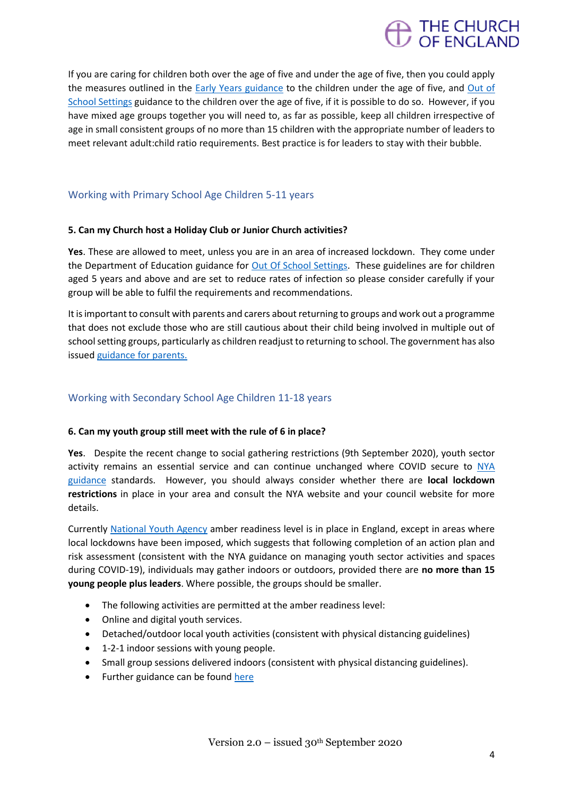

If you are caring for children both over the age of five and under the age of five, then you could apply the measures outlined in the [Early Years guidance](https://www.gov.uk/government/publications/coronavirus-covid-19-early-years-and-childcare-closures/coronavirus-covid-19-early-years-and-childcare-closures#who-this-guidance-is-for) to the children under the age of five, and [Out of](https://www.gov.uk/government/publications/protective-measures-for-holiday-or-after-school-clubs-and-other-out-of-school-settings-for-children-during-the-coronavirus-covid-19-outbreak/protective-measures-for-out-of-school-settings-during-the-coronavirus-covid-19-outbreak?fbclid=IwAR0NeshL-sLWnqW3aKx9PrvZCD2u2m9OBYIalAcYSkbiwv1InqjJlntEGk4)  [School Settings](https://www.gov.uk/government/publications/protective-measures-for-holiday-or-after-school-clubs-and-other-out-of-school-settings-for-children-during-the-coronavirus-covid-19-outbreak/protective-measures-for-out-of-school-settings-during-the-coronavirus-covid-19-outbreak?fbclid=IwAR0NeshL-sLWnqW3aKx9PrvZCD2u2m9OBYIalAcYSkbiwv1InqjJlntEGk4) guidance to the children over the age of five, if it is possible to do so. However, if you have mixed age groups together you will need to, as far as possible, keep all children irrespective of age in small consistent groups of no more than 15 children with the appropriate number of leaders to meet relevant adult:child ratio requirements. Best practice is for leaders to stay with their bubble.

# Working with Primary School Age Children 5-11 years

## **5. Can my Church host a Holiday Club or Junior Church activities?**

**Yes**. These are allowed to meet, unless you are in an area of increased lockdown. They come under the Department of Education guidance for [Out Of School Settings.](https://www.gov.uk/government/publications/protective-measures-for-holiday-or-after-school-clubs-and-other-out-of-school-settings-for-children-during-the-coronavirus-covid-19-outbreak/protective-measures-for-out-of-school-settings-during-the-coronavirus-covid-19-outbreak?fbclid=IwAR0NeshL-sLWnqW3aKx9PrvZCD2u2m9OBYIalAcYSkbiwv1InqjJlntEGk4) These guidelines are for children aged 5 years and above and are set to reduce rates of infection so please consider carefully if your group will be able to fulfil the requirements and recommendations.

It is important to consult with parents and carers about returning to groups and work out a programme that does not exclude those who are still cautious about their child being involved in multiple out of school setting groups, particularly as children readjust to returning to school. The government has also issue[d guidance for parents.](https://www.gov.uk/government/publications/what-parents-and-carers-need-to-know-about-early-years-providers-schools-and-colleges-during-the-coronavirus-covid-19-outbreak/what-parents-and-carers-need-to-know-about-early-years-providers-schools-and-colleges-in-the-autumn-term)

## Working with Secondary School Age Children 11-18 years

## **6. Can my youth group still meet with the rule of 6 in place?**

**Yes**. Despite the recent change to social gathering restrictions (9th September 2020), youth sector activity remains an essential service and can continue unchanged where COVID secure to [NYA](https://nya.org.uk/) [guidance](https://nya.org.uk/) standards. However, you should always consider whether there are **local lockdown restrictions** in place in your area and consult the NYA website and your council website for more details.

Currently [National Youth Agency](https://nya.org.uk/) amber readiness level is in place in England, except in areas where local lockdowns have been imposed, which suggests that following completion of an action plan and risk assessment (consistent with the NYA guidance on managing youth sector activities and spaces during COVID-19), individuals may gather indoors or outdoors, provided there are **no more than 15 young people plus leaders**. Where possible, the groups should be smaller.

- The following activities are permitted at the amber readiness level:
- Online and digital youth services.
- Detached/outdoor local youth activities (consistent with physical distancing guidelines)
- 1-2-1 indoor sessions with young people.
- Small group sessions delivered indoors (consistent with physical distancing guidelines).
- Further guidance can be found [here](https://nya.org.uk/wp-content/uploads/2020/08/NYA-Guidance-version-2.pdf)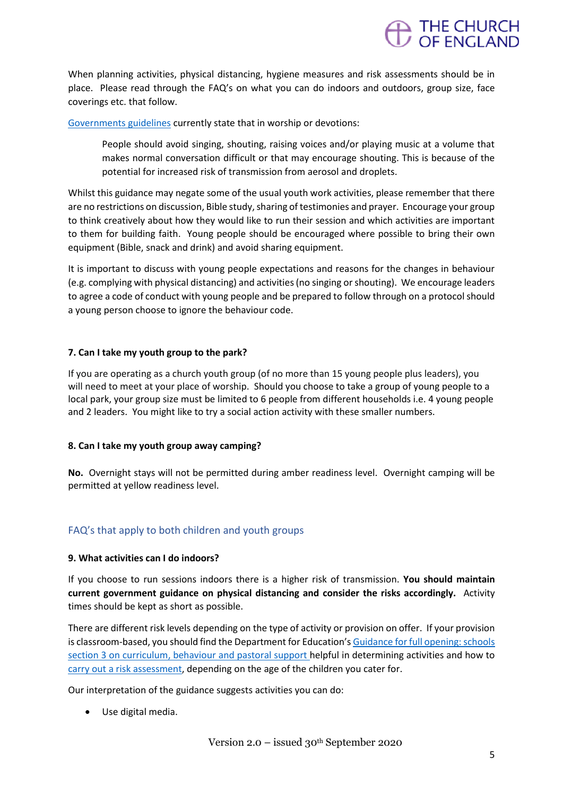

When planning activities, physical distancing, hygiene measures and risk assessments should be in place. Please read through the FAQ's on what you can do indoors and outdoors, group size, face coverings etc. that follow.

[Governments guidelines](https://www.gov.uk/government/publications/covid-19-guidance-for-the-safe-use-of-places-of-worship-during-the-pandemic-from-4-july/covid-19-guidance-for-the-safe-use-of-places-of-worship-during-the-pandemic-from-4-july) currently state that in worship or devotions:

People should avoid singing, shouting, raising voices and/or playing music at a volume that makes normal conversation difficult or that may encourage shouting. This is because of the potential for increased risk of transmission from aerosol and droplets.

Whilst this guidance may negate some of the usual youth work activities, please remember that there are no restrictions on discussion, Bible study, sharing of testimonies and prayer. Encourage your group to think creatively about how they would like to run their session and which activities are important to them for building faith. Young people should be encouraged where possible to bring their own equipment (Bible, snack and drink) and avoid sharing equipment.

It is important to discuss with young people expectations and reasons for the changes in behaviour (e.g. complying with physical distancing) and activities (no singing or shouting). We encourage leaders to agree a code of conduct with young people and be prepared to follow through on a protocol should a young person choose to ignore the behaviour code.

## **7. Can I take my youth group to the park?**

If you are operating as a church youth group (of no more than 15 young people plus leaders), you will need to meet at your place of worship. Should you choose to take a group of young people to a local park, your group size must be limited to 6 people from different households i.e. 4 young people and 2 leaders. You might like to try a social action activity with these smaller numbers.

## **8. Can I take my youth group away camping?**

**No.** Overnight stays will not be permitted during amber readiness level. Overnight camping will be permitted at yellow readiness level.

## FAQ's that apply to both children and youth groups

## **9. What activities can I do indoors?**

If you choose to run sessions indoors there is a higher risk of transmission. **You should maintain current government guidance on physical distancing and consider the risks accordingly.** Activity times should be kept as short as possible.

There are different risk levels depending on the type of activity or provision on offer. If your provision is classroom-based, you should find the Department for Education's [Guidance for full opening: schools](https://www.gov.uk/government/publications/actions-for-schools-during-the-coronavirus-outbreak/guidance-for-full-opening-schools#section-3-curriculum-behaviour-and-pastoral-support)  [section 3 on curriculum, behaviour and pastoral support](https://www.gov.uk/government/publications/actions-for-schools-during-the-coronavirus-outbreak/guidance-for-full-opening-schools#section-3-curriculum-behaviour-and-pastoral-support) helpful in determining activities and how to [carry out a risk assessment,](https://www.gov.uk/government/publications/actions-for-schools-during-the-coronavirus-outbreak/guidance-for-full-opening-schools#A) depending on the age of the children you cater for.

Our interpretation of the guidance suggests activities you can do:

• Use digital media.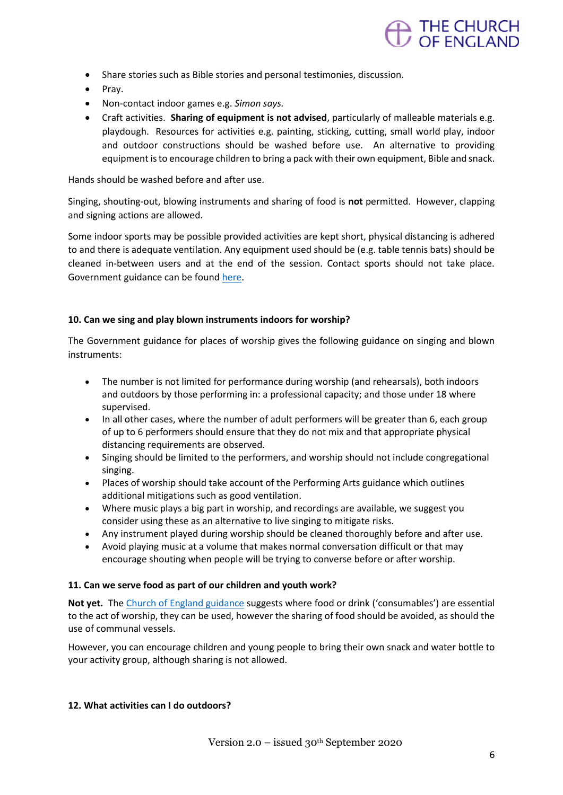

- Share stories such as Bible stories and personal testimonies, discussion.
- Pray.
- Non-contact indoor games e.g. *Simon says.*
- Craft activities. **Sharing of equipment is not advised**, particularly of malleable materials e.g. playdough. Resources for activities e.g. painting, sticking, cutting, small world play, indoor and outdoor constructions should be washed before use. An alternative to providing equipment is to encourage children to bring a pack with their own equipment, Bible and snack.

Hands should be washed before and after use.

Singing, shouting-out, blowing instruments and sharing of food is **not** permitted. However, clapping and signing actions are allowed.

Some indoor sports may be possible provided activities are kept short, physical distancing is adhered to and there is adequate ventilation. Any equipment used should be (e.g. table tennis bats) should be cleaned in-between users and at the end of the session. Contact sports should not take place. Government guidance can be found [here.](https://www.gov.uk/guidance/working-safely-during-coronavirus-covid-19/providers-of-grassroots-sport-and-gym-leisure-facilities)

## **10. Can we sing and play blown instruments indoors for worship?**

The Government guidance for places of worship gives the following guidance on singing and blown instruments:

- The number is not limited for performance during worship (and rehearsals), both indoors and outdoors by those performing in: a professional capacity; and those under 18 where supervised.
- In all other cases, where the number of adult performers will be greater than 6, each group of up to 6 performers should ensure that they do not mix and that appropriate physical distancing requirements are observed.
- Singing should be limited to the performers, and worship should not include congregational singing.
- Places of worship should take account of the Performing Arts guidance which outlines additional mitigations such as good ventilation.
- Where music plays a big part in worship, and recordings are available, we suggest you consider using these as an alternative to live singing to mitigate risks.
- Any instrument played during worship should be cleaned thoroughly before and after use.
- Avoid playing music at a volume that makes normal conversation difficult or that may encourage shouting when people will be trying to converse before or after worship.

#### **11. Can we serve food as part of our children and youth work?**

**Not yet.** Th[e Church of England guidance](https://www.churchofengland.org/more/media-centre/coronavirus-covid-19-guidance-churches) suggests where food or drink ('consumables') are essential to the act of worship, they can be used, however the sharing of food should be avoided, as should the use of communal vessels.

However, you can encourage children and young people to bring their own snack and water bottle to your activity group, although sharing is not allowed.

#### **12. What activities can I do outdoors?**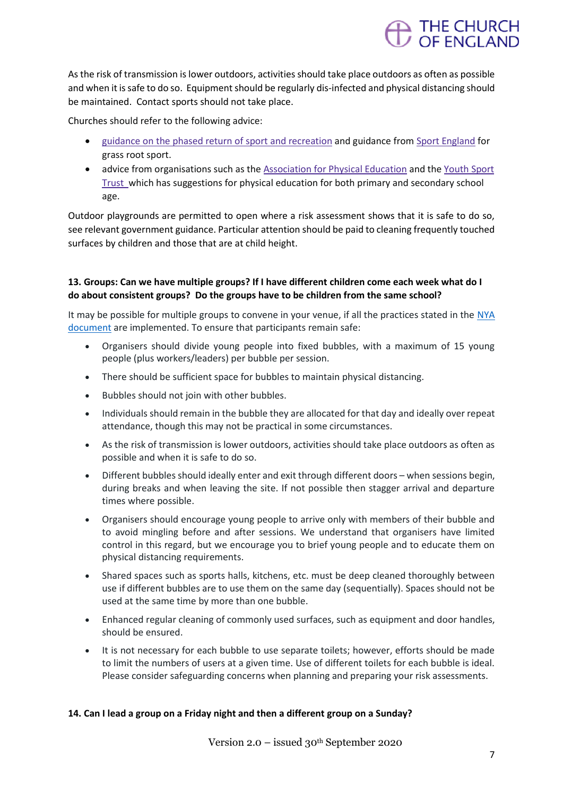

As the risk of transmission is lower outdoors, activities should take place outdoors as often as possible and when it is safe to do so. Equipment should be regularly dis-infected and physical distancing should be maintained. Contact sports should not take place.

Churches should refer to the following advice:

- guidance on the phased return of sport and [recreation](https://www.gov.uk/government/publications/coronavirus-covid-19-guidance-on-phased-return-of-sport-and-recreation) and guidance from Sport [England](https://www.sportengland.org/how-we-can-help/coronavirus) for grass root sport.
- advice from organisations such as the [Association](https://www.afpe.org.uk/physical-education/wp-content/uploads/COVID-19-Interpreting-the-Government-Guidance-in-a-PESSPA-Context-FINAL.pdf.) for Physical Education and the [Youth](https://www.youthsporttrust.org/coronavirus-support-schools) Sport [Trust](https://www.youthsporttrust.org/coronavirus-support-schools) which has suggestions for physical education for both primary and secondary school age.

Outdoor playgrounds are permitted to open where a risk assessment shows that it is safe to do so, see relevant government guidance. Particular attention should be paid to cleaning frequently touched surfaces by children and those that are at child height.

# **13. Groups: Can we have multiple groups? If I have different children come each week what do I do about consistent groups? Do the groups have to be children from the same school?**

It may be possible for multiple groups to convene in your venue, if all the practices stated in the NYA [document](https://nya.org.uk/wp-content/uploads/2020/08/NYA-Guidance-version-2.pdf) are implemented. To ensure that participants remain safe:

- Organisers should divide young people into fixed bubbles, with a maximum of 15 young people (plus workers/leaders) per bubble per session.
- There should be sufficient space for bubbles to maintain physical distancing.
- Bubbles should not join with other bubbles.
- Individuals should remain in the bubble they are allocated for that day and ideally over repeat attendance, though this may not be practical in some circumstances.
- As the risk of transmission is lower outdoors, activities should take place outdoors as often as possible and when it is safe to do so.
- Different bubbles should ideally enter and exit through different doors when sessions begin, during breaks and when leaving the site. If not possible then stagger arrival and departure times where possible.
- Organisers should encourage young people to arrive only with members of their bubble and to avoid mingling before and after sessions. We understand that organisers have limited control in this regard, but we encourage you to brief young people and to educate them on physical distancing requirements.
- Shared spaces such as sports halls, kitchens, etc. must be deep cleaned thoroughly between use if different bubbles are to use them on the same day (sequentially). Spaces should not be used at the same time by more than one bubble.
- Enhanced regular cleaning of commonly used surfaces, such as equipment and door handles, should be ensured.
- It is not necessary for each bubble to use separate toilets; however, efforts should be made to limit the numbers of users at a given time. Use of different toilets for each bubble is ideal. Please consider safeguarding concerns when planning and preparing your risk assessments.

## **14. Can I lead a group on a Friday night and then a different group on a Sunday?**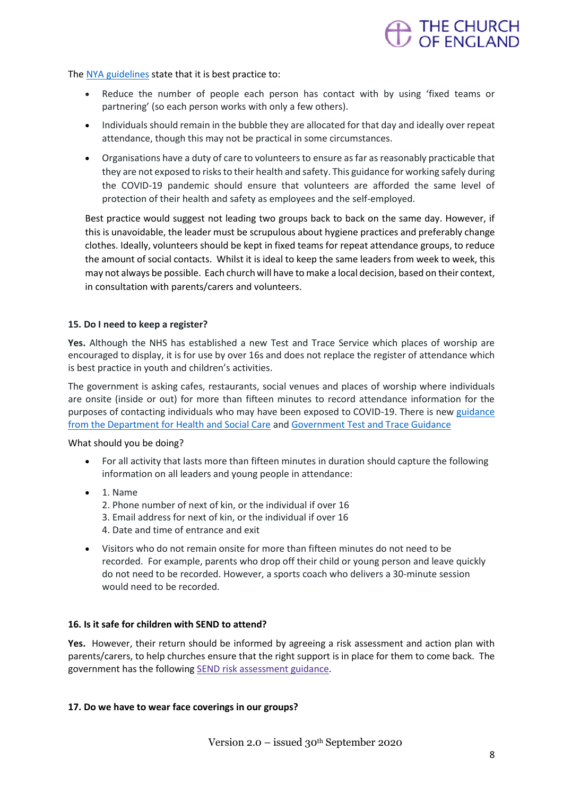

The [NYA guidelines](https://nya.org.uk/wp-content/uploads/2020/08/NYA-Guidance-version-2.pdf) state that it is best practice to:

- Reduce the number of people each person has contact with by using 'fixed teams or partnering' (so each person works with only a few others).
- Individuals should remain in the bubble they are allocated for that day and ideally over repeat attendance, though this may not be practical in some circumstances.
- Organisations have a duty of care to volunteers to ensure as far as reasonably practicable that they are not exposed to risks to their health and safety. This guidance for working safely during the COVID-19 pandemic should ensure that volunteers are afforded the same level of protection of their health and safety as employees and the self-employed.

Best practice would suggest not leading two groups back to back on the same day. However, if this is unavoidable, the leader must be scrupulous about hygiene practices and preferably change clothes. Ideally, volunteers should be kept in fixed teams for repeat attendance groups, to reduce the amount of social contacts. Whilst it is ideal to keep the same leaders from week to week, this may not always be possible. Each church will have to make a local decision, based on their context, in consultation with parents/carers and volunteers.

## **15. Do I need to keep a register?**

**Yes.** Although the NHS has established a new Test and Trace Service which places of worship are encouraged to display, it is for use by over 16s and does not replace the register of attendance which is best practice in youth and children's activities.

The government is asking cafes, restaurants, social venues and places of worship where individuals are onsite (inside or out) for more than fifteen minutes to record attendance information for the purposes of contacting individuals who may have been exposed to COVID-19. There is new [guidance](https://www.gov.uk/guidance/nhs-test-and-trace-how-it-works)  [from the Department for Health and Social Care](https://www.gov.uk/guidance/nhs-test-and-trace-how-it-works) and [Government Test and Trace Guidance](https://www.gov.uk/guidance/maintaining-records-of-staff-customers-and-visitors-to-support-nhs-test-and-trace%23sectors-that-this-guidance-applies-to)

What should you be doing?

- For all activity that lasts more than fifteen minutes in duration should capture the following information on all leaders and young people in attendance:
- 1. Name
	- 2. Phone number of next of kin, or the individual if over 16
	- 3. Email address for next of kin, or the individual if over 16
	- 4. Date and time of entrance and exit
- Visitors who do not remain onsite for more than fifteen minutes do not need to be recorded. For example, parents who drop off their child or young person and leave quickly do not need to be recorded. However, a sports coach who delivers a 30-minute session would need to be recorded.

## **16. Is it safe for children with SEND to attend?**

**Yes.** However, their return should be informed by agreeing a risk assessment and action plan with parents/carers, to help churches ensure that the right support is in place for them to come back. The government has the following SEND risk [assessment](https://www.gov.uk/government/publications/coronavirus-covid-19-send-risk-assessment-guidance) guidance.

## **17. Do we have to wear face coverings in our groups?**